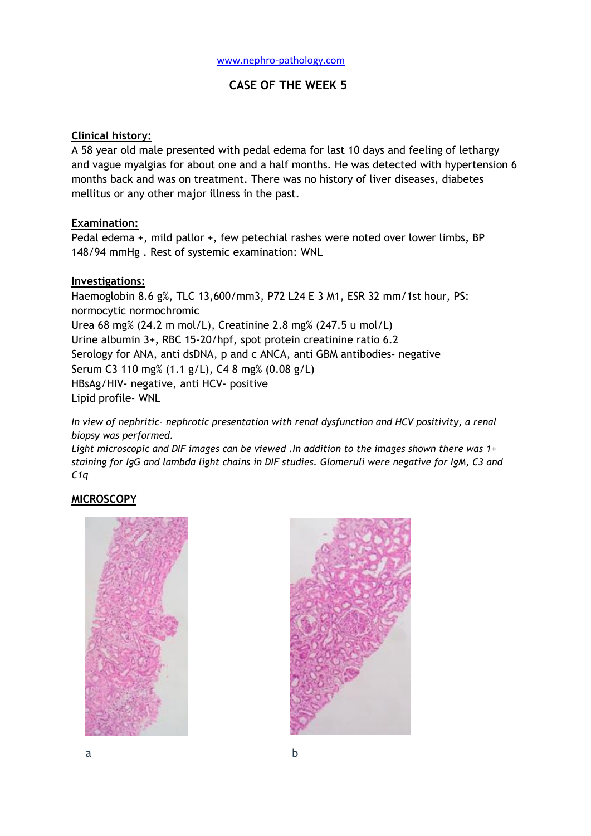## **CASE OF THE WEEK 5**

### **Clinical history:**

A 58 year old male presented with pedal edema for last 10 days and feeling of lethargy and vague myalgias for about one and a half months. He was detected with hypertension 6 months back and was on treatment. There was no history of liver diseases, diabetes mellitus or any other major illness in the past.

### **Examination:**

Pedal edema +, mild pallor +, few petechial rashes were noted over lower limbs, BP 148/94 mmHg . Rest of systemic examination: WNL

### **Investigations:**

Haemoglobin 8.6 g%, TLC 13,600/mm3, P72 L24 E 3 M1, ESR 32 mm/1st hour, PS: normocytic normochromic Urea 68 mg% (24.2 m mol/L), Creatinine 2.8 mg% (247.5 u mol/L) Urine albumin 3+, RBC 15-20/hpf, spot protein creatinine ratio 6.2 Serology for ANA, anti dsDNA, p and c ANCA, anti GBM antibodies- negative Serum C3 110 mg% (1.1 g/L), C4 8 mg% (0.08 g/L) HBsAg/HIV- negative, anti HCV- positive Lipid profile- WNL

*In view of nephritic- nephrotic presentation with renal dysfunction and HCV positivity, a renal biopsy was performed.*

*Light microscopic and DIF images can be viewed .In addition to the images shown there was 1+ staining for IgG and lambda light chains in DIF studies. Glomeruli were negative for IgM, C3 and C1q*

## **MICROSCOPY**



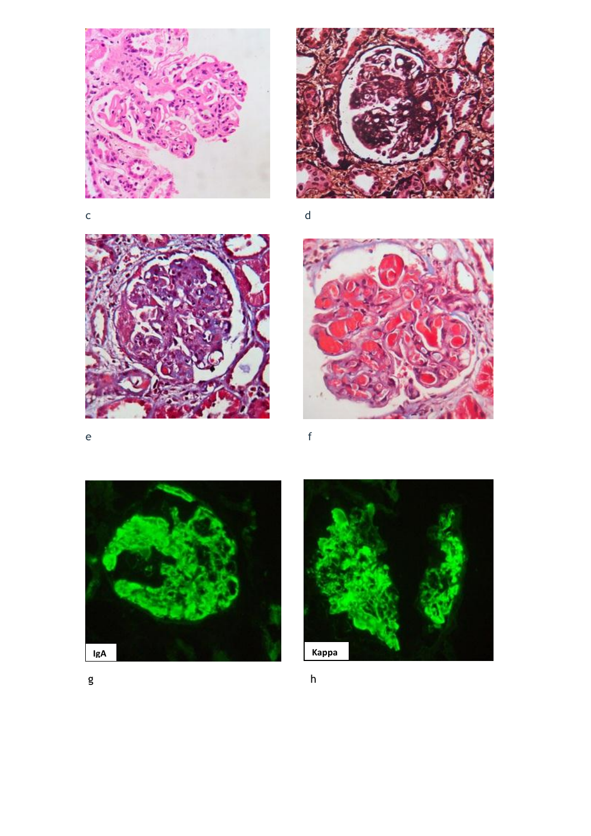



 $\mathsf{d}$ 









 $\epsilon$ 

 $h$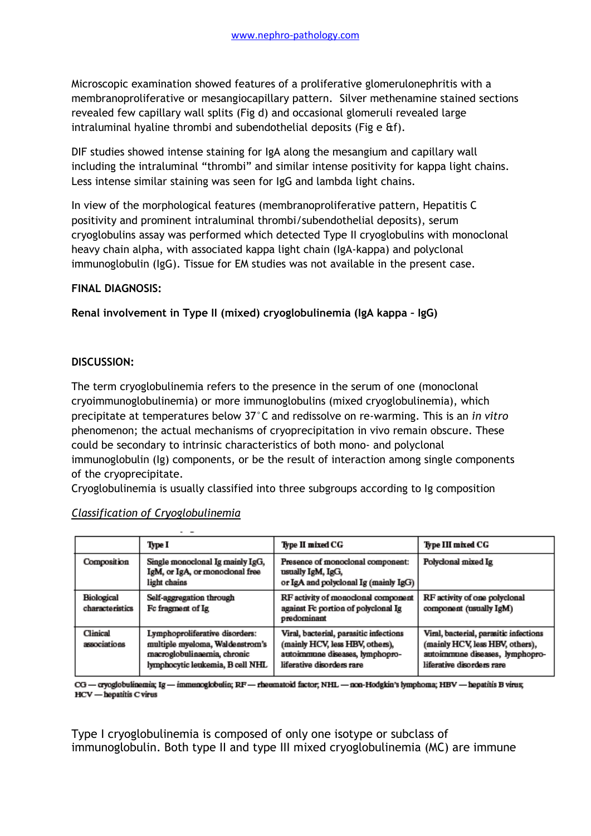Microscopic examination showed features of a proliferative glomerulonephritis with a membranoproliferative or mesangiocapillary pattern. Silver methenamine stained sections revealed few capillary wall splits (Fig d) and occasional glomeruli revealed large intraluminal hyaline thrombi and subendothelial deposits (Fig e &f).

DIF studies showed intense staining for IgA along the mesangium and capillary wall including the intraluminal "thrombi" and similar intense positivity for kappa light chains. Less intense similar staining was seen for IgG and lambda light chains.

In view of the morphological features (membranoproliferative pattern, Hepatitis C positivity and prominent intraluminal thrombi/subendothelial deposits), serum cryoglobulins assay was performed which detected Type II cryoglobulins with monoclonal heavy chain alpha, with associated kappa light chain (IgA-kappa) and polyclonal immunoglobulin (IgG). Tissue for EM studies was not available in the present case.

### **FINAL DIAGNOSIS:**

**Renal involvement in Type II (mixed) cryoglobulinemia (IgA kappa – IgG)**

### **DISCUSSION:**

The term cryoglobulinemia refers to the presence in the serum of one (monoclonal cryoimmunoglobulinemia) or more immunoglobulins (mixed cryoglobulinemia), which precipitate at temperatures below 37°C and redissolve on re-warming. This is an *in vitro* phenomenon; the actual mechanisms of cryoprecipitation in vivo remain obscure. These could be secondary to intrinsic characteristics of both mono- and polyclonal immunoglobulin (Ig) components, or be the result of interaction among single components of the cryoprecipitate.

Cryoglobulinemia is usually classified into three subgroups according to Ig composition

|                               | Type I                                                                                                                               | Type II mixed CG                                                                                                                          | Type III mixed CG                                                                                                                         |
|-------------------------------|--------------------------------------------------------------------------------------------------------------------------------------|-------------------------------------------------------------------------------------------------------------------------------------------|-------------------------------------------------------------------------------------------------------------------------------------------|
| Composition                   | Single monoclonal Ig mainly IgG,<br>IgM, or IgA, or monoclonal free<br>light chains                                                  | Presence of monoclonal component:<br>usually IgM, IgG,<br>or IgA and polyclonal Ig (mainly IgG)                                           | Polyclonal mixed Ig                                                                                                                       |
| Biological<br>characteristics | Self-aggregation through<br>Fc fragment of Ig                                                                                        | RF activity of monoclonal component<br>against Fc portion of polyclonal Ig<br>predominant                                                 | RF activity of one polyclonal<br>component (usually IgM)                                                                                  |
| Clinical<br>associations      | Lymphoproliferative disorders:<br>multiple myeloma, Waldenstrom's<br>macroglobulinaemia, chronic<br>lymphocytic leukemia, B cell NHL | Viral, bacterial, parasitic infections<br>(mainly HCV, less HBV, others),<br>autoimmune diseases, lymphopro-<br>liferative disorders rare | Viral, bacterial, parasitic infections<br>(mainly HCV, less HBV, others),<br>autoimmune diseases, lymphopro-<br>liferative disorders rare |

#### *Classification of Cryoglobulinemia*

CG - cryoglobulinemia; Ig - immenoglobulin; RF - rheumatoid factor; NHL - non-Hodgkin's lymphoma; HBV - hepatitis B virus; HCV - hepatitis C virus

Type I cryoglobulinemia is composed of only one isotype or subclass of immunoglobulin. Both type II and type III mixed cryoglobulinemia (MC) are immune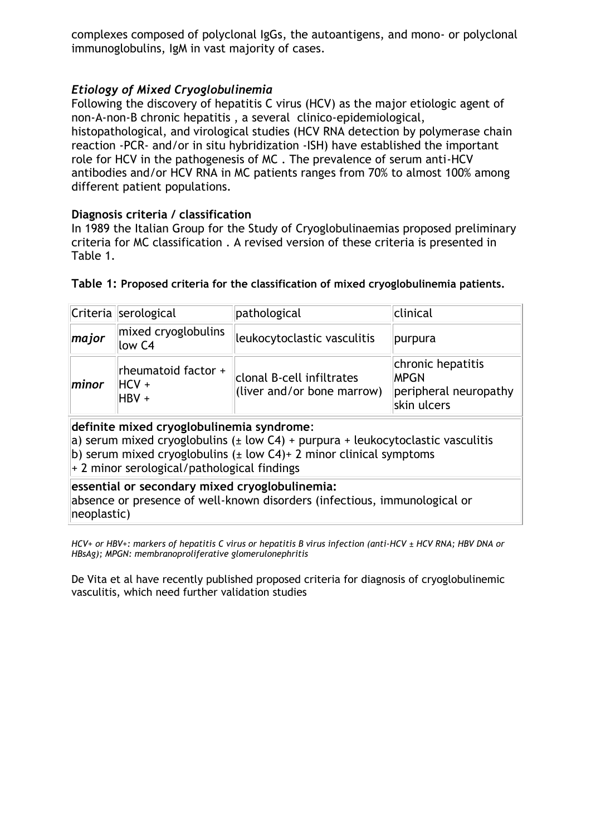complexes composed of polyclonal IgGs, the autoantigens, and mono- or polyclonal immunoglobulins, IgM in vast majority of cases.

# *Etiology of Mixed Cryoglobulinemia*

Following the discovery of hepatitis C virus (HCV) as the major etiologic agent of non-A-non-B chronic hepatitis , a several clinico-epidemiological, histopathological, and virological studies (HCV RNA detection by polymerase chain reaction -PCR- and/or in situ hybridization -ISH) have established the important role for HCV in the pathogenesis of MC . The prevalence of serum anti-HCV antibodies and/or HCV RNA in MC patients ranges from 70% to almost 100% among different patient populations.

## **Diagnosis criteria / classification**

In 1989 the Italian Group for the Study of Cryoglobulinaemias proposed preliminary criteria for MC classification . A revised version of these criteria is presented in Table 1.

|                                                                         | Criteria serological                      | pathological                                            | clinical                                                                 |
|-------------------------------------------------------------------------|-------------------------------------------|---------------------------------------------------------|--------------------------------------------------------------------------|
| major                                                                   | mixed cryoglobulins<br>low C4             | leukocytoclastic vasculitis                             | purpura                                                                  |
| minor                                                                   | rheumatoid factor +<br>$HCV +$<br>$HBV +$ | clonal B-cell infiltrates<br>(liver and/or bone marrow) | chronic hepatitis<br><b>MPGN</b><br>peripheral neuropathy<br>skin ulcers |
| dia 23 daharampehinta di kacamatan lain. 13 daerah daerah daerah daerah |                                           |                                                         |                                                                          |

## **Table 1: Proposed criteria for the classification of mixed cryoglobulinemia patients.**

**definite mixed cryoglobulinemia syndrome**: a) serum mixed cryoglobulins ( $\pm$  low C4) + purpura + leukocytoclastic vasculitis b) serum mixed cryoglobulins  $(\pm \text{ low C4})$ + 2 minor clinical symptoms

+ 2 minor serological/pathological findings

## **essential or secondary mixed cryoglobulinemia:**

absence or presence of well-known disorders (infectious, immunological or neoplastic)

*HCV+ or HBV+: markers of hepatitis C virus or hepatitis B virus infection (anti-HCV ± HCV RNA; HBV DNA or HBsAg); MPGN: membranoproliferative glomerulonephritis*

De Vita et al have recently published proposed criteria for diagnosis of cryoglobulinemic vasculitis, which need further validation studies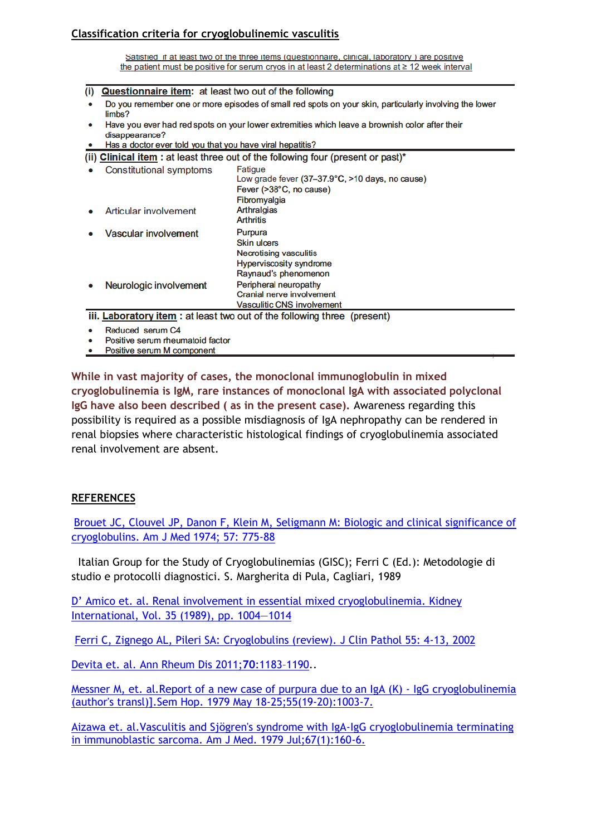## **Classification criteria for cryoglobulinemic vasculitis**

Satisfied if at least two of the three items (questionnaire, clinical, laboratory) are positive the patient must be positive for serum cryos in at least 2 determinations at  $\geq 12$  week interval

|  |  | (i) <b>Questionnaire item:</b> at least two out of the following |  |
|--|--|------------------------------------------------------------------|--|
|--|--|------------------------------------------------------------------|--|

- Do you remember one or more episodes of small red spots on your skin, particularly involving the lower limbs?
- Have you ever had red spots on your lower extremities which leave a brownish color after their disappearance?
- Has a doctor ever told you that you have viral hepatitis?

| (ii) Clinical item: at least three out of the following four (present or past)* |                         |                                                                                 |  |  |
|---------------------------------------------------------------------------------|-------------------------|---------------------------------------------------------------------------------|--|--|
|                                                                                 | Constitutional symptoms | Fatigue<br>Low grade fever (37-37.9°C, >10 days, no cause)                      |  |  |
|                                                                                 |                         | Fever (>38°C, no cause)<br>Fibromyalgia                                         |  |  |
|                                                                                 | Articular involvement   | Arthralgias<br><b>Arthritis</b>                                                 |  |  |
|                                                                                 | Vascular involvement    | Purpura<br><b>Skin ulcers</b><br><b>Necrotising vasculitis</b>                  |  |  |
|                                                                                 | Neurologic involvement  | <b>Hyperviscosity syndrome</b><br>Raynaud's phenomenon<br>Peripheral neuropathy |  |  |
|                                                                                 |                         | Cranial nerve involvement<br><b>Vasculitic CNS involvement</b>                  |  |  |
| iii. Laboratory item: at least two out of the following three (present)         |                         |                                                                                 |  |  |

- Reduced serum C4
- Positive serum rheumatoid factor
- Positive serum M component

**While in vast majority of cases, the monoclonal immunoglobulin in mixed cryoglobulinemia is IgM, rare instances of monoclonal IgA with associated polyclonal IgG have also been described ( as in the present case).** Awareness regarding this possibility is required as a possible misdiagnosis of IgA nephropathy can be rendered in renal biopsies where characteristic histological findings of cryoglobulinemia associated renal involvement are absent.

## **REFERENCES**

Brouet JC, Clouvel JP, Danon [F, Klein M, Seligmann M: Biologic and clinical significance of](http://www.ncbi.nlm.nih.gov/pubmed/4216269)  [cryoglobulins. Am J Med 1974; 57: 775-88](http://www.ncbi.nlm.nih.gov/pubmed/4216269)

Italian Group for the Study of Cryoglobulinemias (GISC); Ferri C (Ed.): Metodologie di studio e protocolli diagnostici. S. Margherita di Pula, Cagliari, 1989

[D' Amico et. al. Renal involvement in essential mixed cryoglobulinemia. Kidney](http://www.nature.com/ki/journal/v35/n4/pdf/ki198984a.pdf)  [International, Vol. 35 \(1989\), pp. 1004](http://www.nature.com/ki/journal/v35/n4/pdf/ki198984a.pdf)—1014

[Ferri C, Zignego AL, Pileri SA: Cryoglobulins \(review\). J Clin Pathol 55: 4-13, 2002](http://jcp.bmj.com/content/55/1/4.full.pdf+html)

[Devita et. al. Ann Rheum Dis 2011;](http://ard.bmj.com/content/70/7/1183.full.pdf+html)**70**:1183–1190..

[Messner M, et. al.Report of a new case of purpura due to an IgA \(K\) -](http://www.ncbi.nlm.nih.gov/pubmed?term=Sem%20Hop.%201979%20May%2018-25%3B55(19-20)%3A1003-7.%20) IgG cryoglobulinemia [\(author's transl\)\].Sem Hop. 1979 May 18-25;55\(19-20\):1003-7.](http://www.ncbi.nlm.nih.gov/pubmed?term=Sem%20Hop.%201979%20May%2018-25%3B55(19-20)%3A1003-7.%20) 

[Aizawa et. al.Vasculitis and Sjögren's syndrome with IgA-IgG cryoglobulinemia terminating](http://www.ncbi.nlm.nih.gov/pubmed?term=Am%20J%20Med.%201979%20Jul%3B67(1)%3A160-6.)  [in immunoblastic sarcoma. Am J Med. 1979 Jul;67\(1\):160-6.](http://www.ncbi.nlm.nih.gov/pubmed?term=Am%20J%20Med.%201979%20Jul%3B67(1)%3A160-6.)